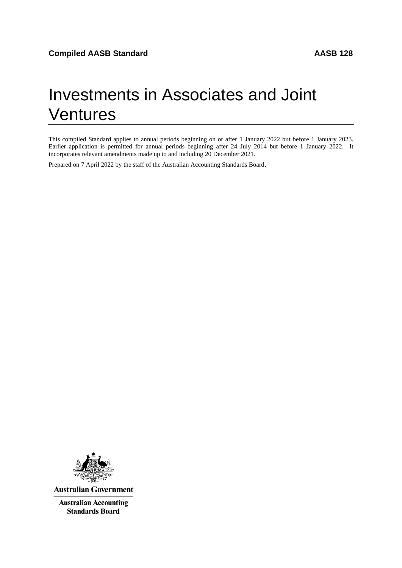# Investments in Associates and Joint Ventures

This compiled Standard applies to annual periods beginning on or after 1 January 2022 but before 1 January 2023. Earlier application is permitted for annual periods beginning after 24 July 2014 but before 1 January 2022. It incorporates relevant amendments made up to and including 20 December 2021.

Prepared on 7 April 2022 by the staff of the Australian Accounting Standards Board.



**Australian Government** 

**Australian Accounting Standards Board**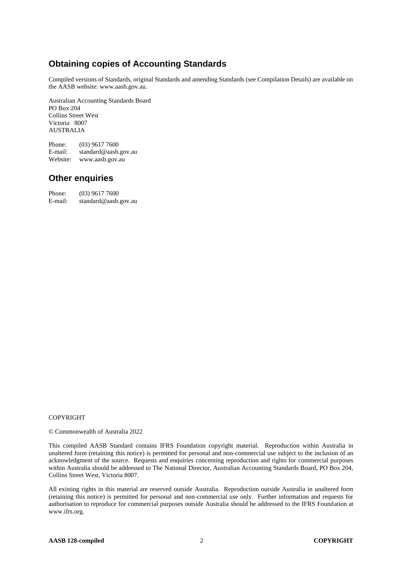# **Obtaining copies of Accounting Standards**

Compiled versions of Standards, original Standards and amending Standards (see Compilation Details) are available on the AASB website: www.aasb.gov.au.

Australian Accounting Standards Board PO Box 204 Collins Street West Victoria 8007 AUSTRALIA

Phone:  $(03)$  9617 7600<br>E-mail: standard@aasb. standard@aasb.gov.au Website: www.aasb.gov.au

## **Other enquiries**

| Phone:  | $(03)$ 9617 7600     |
|---------|----------------------|
| E-mail: | standard@aasb.gov.au |

#### COPYRIGHT

© Commonwealth of Australia 2022

This compiled AASB Standard contains IFRS Foundation copyright material. Reproduction within Australia in unaltered form (retaining this notice) is permitted for personal and non-commercial use subject to the inclusion of an acknowledgment of the source. Requests and enquiries concerning reproduction and rights for commercial purposes within Australia should be addressed to The National Director, Australian Accounting Standards Board, PO Box 204, Collins Street West, Victoria 8007.

All existing rights in this material are reserved outside Australia. Reproduction outside Australia in unaltered form (retaining this notice) is permitted for personal and non-commercial use only. Further information and requests for authorisation to reproduce for commercial purposes outside Australia should be addressed to the IFRS Foundation at www.ifrs.org.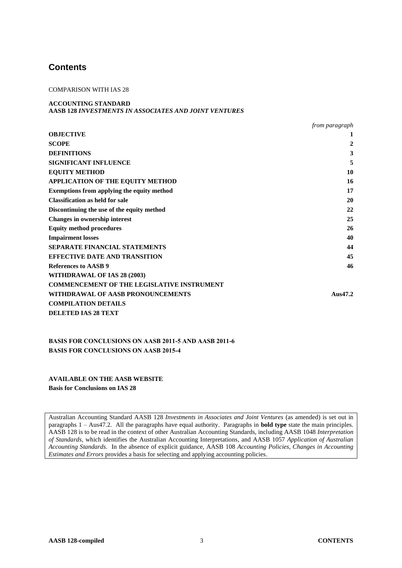# **Contents**

#### COMPARISON WITH IAS 28

#### **ACCOUNTING STANDARD AASB 128** *INVESTMENTS IN ASSOCIATES AND JOINT VENTURES*

|                                                   | from paragraph |
|---------------------------------------------------|----------------|
| <b>OBJECTIVE</b>                                  |                |
| <b>SCOPE</b>                                      | $\mathbf{2}$   |
| <b>DEFINITIONS</b>                                | 3              |
| <b>SIGNIFICANT INFLUENCE</b>                      | 5              |
| <b>EQUITY METHOD</b>                              | 10             |
| <b>APPLICATION OF THE EQUITY METHOD</b>           | 16             |
| <b>Exemptions from applying the equity method</b> | 17             |
| <b>Classification as held for sale</b>            | 20             |
| Discontinuing the use of the equity method        | 22             |
| <b>Changes in ownership interest</b>              | 25             |
| <b>Equity method procedures</b>                   | 26             |
| <b>Impairment losses</b>                          | 40             |
| <b>SEPARATE FINANCIAL STATEMENTS</b>              | 44             |
| <b>EFFECTIVE DATE AND TRANSITION</b>              | 45             |
| <b>References to AASB 9</b>                       | 46             |
| WITHDRAWAL OF IAS 28 (2003)                       |                |
| <b>COMMENCEMENT OF THE LEGISLATIVE INSTRUMENT</b> |                |
| WITHDRAWAL OF AASB PRONOUNCEMENTS                 | Aus $47.2$     |
| <b>COMPILATION DETAILS</b>                        |                |
| <b>DELETED IAS 28 TEXT</b>                        |                |

**BASIS FOR CONCLUSIONS ON AASB 2011-5 AND AASB 2011-6 BASIS FOR CONCLUSIONS ON AASB 2015-4**

**AVAILABLE ON THE AASB WEBSITE Basis for Conclusions on IAS 28**

Australian Accounting Standard AASB 128 *Investments in Associates and Joint Ventures* (as amended) is set out in paragraphs 1 – Aus47.2. All the paragraphs have equal authority. Paragraphs in **bold type** state the main principles. AASB 128 is to be read in the context of other Australian Accounting Standards, including AASB 1048 *Interpretation of Standards*, which identifies the Australian Accounting Interpretations, and AASB 1057 *Application of Australian Accounting Standards*. In the absence of explicit guidance, AASB 108 *Accounting Policies, Changes in Accounting Estimates and Errors* provides a basis for selecting and applying accounting policies.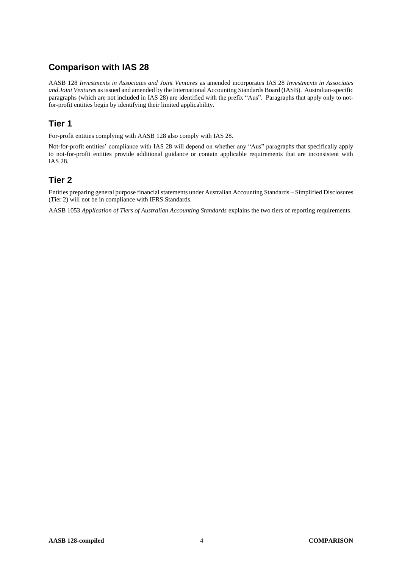# **Comparison with IAS 28**

AASB 128 *Investments in Associates and Joint Ventures* as amended incorporates IAS 28 *Investments in Associates and Joint Ventures* as issued and amended by the International Accounting Standards Board (IASB). Australian-specific paragraphs (which are not included in IAS 28) are identified with the prefix "Aus". Paragraphs that apply only to notfor-profit entities begin by identifying their limited applicability.

# **Tier 1**

For-profit entities complying with AASB 128 also comply with IAS 28.

Not-for-profit entities' compliance with IAS 28 will depend on whether any "Aus" paragraphs that specifically apply to not-for-profit entities provide additional guidance or contain applicable requirements that are inconsistent with IAS 28.

# **Tier 2**

Entities preparing general purpose financial statements under Australian Accounting Standards – Simplified Disclosures (Tier 2) will not be in compliance with IFRS Standards.

AASB 1053 *Application of Tiers of Australian Accounting Standards* explains the two tiers of reporting requirements.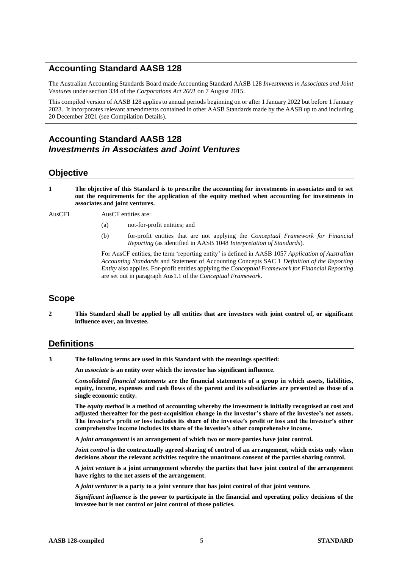## **Accounting Standard AASB 128**

The Australian Accounting Standards Board made Accounting Standard AASB 128 *Investments in Associates and Joint Ventures* under section 334 of the *Corporations Act 2001* on 7 August 2015.

This compiled version of AASB 128 applies to annual periods beginning on or after 1 January 2022 but before 1 January 2023. It incorporates relevant amendments contained in other AASB Standards made by the AASB up to and including 20 December 2021 (see Compilation Details).

# **Accounting Standard AASB 128** *Investments in Associates and Joint Ventures*

#### **Objective**

**1 The objective of this Standard is to prescribe the accounting for investments in associates and to set out the requirements for the application of the equity method when accounting for investments in associates and joint ventures.** 

AusCF1 AusCF entities are:

- (a) not-for-profit entities; and
- (b) for-profit entities that are not applying the *Conceptual Framework for Financial Reporting* (as identified in AASB 1048 *Interpretation of Standards*).

For AusCF entities, the term 'reporting entity' is defined in AASB 1057 *Application of Australian Accounting Standards* and Statement of Accounting Concepts SAC 1 *Definition of the Reporting Entity* also applies. For-profit entities applying the *Conceptual Framework for Financial Reporting* are set out in paragraph Aus1.1 of the *Conceptual Framework*.

#### **Scope**

**2 This Standard shall be applied by all entities that are investors with joint control of, or significant influence over, an investee.** 

# **Definitions**

**3 The following terms are used in this Standard with the meanings specified:** 

**An** *associate* **is an entity over which the investor has significant influence.**

*Consolidated financial statements* **are the financial statements of a group in which assets, liabilities, equity, income, expenses and cash flows of the parent and its subsidiaries are presented as those of a single economic entity.** 

**The** *equity method* **is a method of accounting whereby the investment is initially recognised at cost and adjusted thereafter for the post-acquisition change in the investor's share of the investee's net assets. The investor's profit or loss includes its share of the investee's profit or loss and the investor's other comprehensive income includes its share of the investee's other comprehensive income.**

**A** *joint arrangement* **is an arrangement of which two or more parties have joint control.**

*Joint control* **is the contractually agreed sharing of control of an arrangement, which exists only when decisions about the relevant activities require the unanimous consent of the parties sharing control.**

**A** *joint venture* **is a joint arrangement whereby the parties that have joint control of the arrangement have rights to the net assets of the arrangement.**

**A** *joint venturer* **is a party to a joint venture that has joint control of that joint venture.**

*Significant influence* **is the power to participate in the financial and operating policy decisions of the investee but is not control or joint control of those policies.**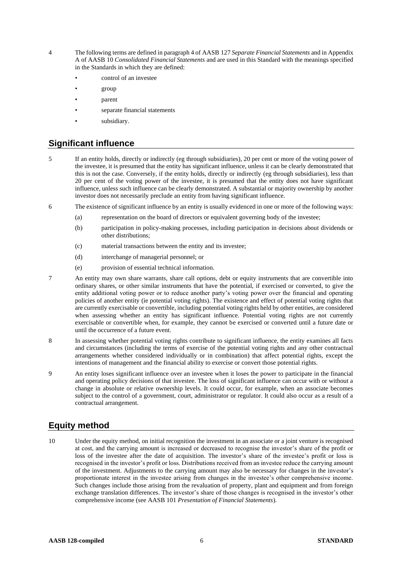- 4 The following terms are defined in paragraph 4 of AASB 127 *Separate Financial Statements* and in Appendix A of AASB 10 *Consolidated Financial Statements* and are used in this Standard with the meanings specified in the Standards in which they are defined:
	- control of an investee
	- group
	- parent
	- separate financial statements
	- subsidiary.

#### **Significant influence**

- 5 If an entity holds, directly or indirectly (eg through subsidiaries), 20 per cent or more of the voting power of the investee, it is presumed that the entity has significant influence, unless it can be clearly demonstrated that this is not the case. Conversely, if the entity holds, directly or indirectly (eg through subsidiaries), less than 20 per cent of the voting power of the investee, it is presumed that the entity does not have significant influence, unless such influence can be clearly demonstrated. A substantial or majority ownership by another investor does not necessarily preclude an entity from having significant influence.
- 6 The existence of significant influence by an entity is usually evidenced in one or more of the following ways:
	- (a) representation on the board of directors or equivalent governing body of the investee;
	- (b) participation in policy-making processes, including participation in decisions about dividends or other distributions;
	- (c) material transactions between the entity and its investee;
	- (d) interchange of managerial personnel; or
	- (e) provision of essential technical information.
- 7 An entity may own share warrants, share call options, debt or equity instruments that are convertible into ordinary shares, or other similar instruments that have the potential, if exercised or converted, to give the entity additional voting power or to reduce another party's voting power over the financial and operating policies of another entity (ie potential voting rights). The existence and effect of potential voting rights that are currently exercisable or convertible, including potential voting rights held by other entities, are considered when assessing whether an entity has significant influence. Potential voting rights are not currently exercisable or convertible when, for example, they cannot be exercised or converted until a future date or until the occurrence of a future event.
- 8 In assessing whether potential voting rights contribute to significant influence, the entity examines all facts and circumstances (including the terms of exercise of the potential voting rights and any other contractual arrangements whether considered individually or in combination) that affect potential rights, except the intentions of management and the financial ability to exercise or convert those potential rights.
- 9 An entity loses significant influence over an investee when it loses the power to participate in the financial and operating policy decisions of that investee. The loss of significant influence can occur with or without a change in absolute or relative ownership levels. It could occur, for example, when an associate becomes subject to the control of a government, court, administrator or regulator. It could also occur as a result of a contractual arrangement.

# **Equity method**

10 Under the equity method, on initial recognition the investment in an associate or a joint venture is recognised at cost, and the carrying amount is increased or decreased to recognise the investor's share of the profit or loss of the investee after the date of acquisition. The investor's share of the investee's profit or loss is recognised in the investor's profit or loss. Distributions received from an investee reduce the carrying amount of the investment. Adjustments to the carrying amount may also be necessary for changes in the investor's proportionate interest in the investee arising from changes in the investee's other comprehensive income. Such changes include those arising from the revaluation of property, plant and equipment and from foreign exchange translation differences. The investor's share of those changes is recognised in the investor's other comprehensive income (see AASB 101 *Presentation of Financial Statements*).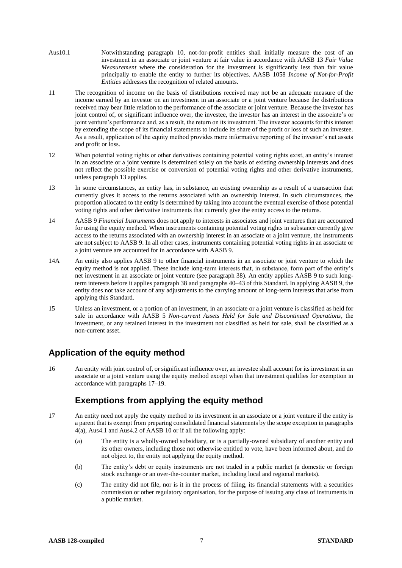- Aus10.1 Notwithstanding paragraph 10, not-for-profit entities shall initially measure the cost of an investment in an associate or joint venture at fair value in accordance with AASB 13 *Fair Value Measurement* where the consideration for the investment is significantly less than fair value principally to enable the entity to further its objectives. AASB 1058 *Income of Not-for-Profit Entities* addresses the recognition of related amounts.
- 11 The recognition of income on the basis of distributions received may not be an adequate measure of the income earned by an investor on an investment in an associate or a joint venture because the distributions received may bear little relation to the performance of the associate or joint venture. Because the investor has joint control of, or significant influence over, the investee, the investor has an interest in the associate's or joint venture's performance and, as a result, the return on its investment. The investor accounts for this interest by extending the scope of its financial statements to include its share of the profit or loss of such an investee. As a result, application of the equity method provides more informative reporting of the investor's net assets and profit or loss.
- 12 When potential voting rights or other derivatives containing potential voting rights exist, an entity's interest in an associate or a joint venture is determined solely on the basis of existing ownership interests and does not reflect the possible exercise or conversion of potential voting rights and other derivative instruments, unless paragraph 13 applies.
- 13 In some circumstances, an entity has, in substance, an existing ownership as a result of a transaction that currently gives it access to the returns associated with an ownership interest. In such circumstances, the proportion allocated to the entity is determined by taking into account the eventual exercise of those potential voting rights and other derivative instruments that currently give the entity access to the returns.
- 14 AASB 9 *Financial Instruments* does not apply to interests in associates and joint ventures that are accounted for using the equity method. When instruments containing potential voting rights in substance currently give access to the returns associated with an ownership interest in an associate or a joint venture, the instruments are not subject to AASB 9. In all other cases, instruments containing potential voting rights in an associate or a joint venture are accounted for in accordance with AASB 9.
- 14A An entity also applies AASB 9 to other financial instruments in an associate or joint venture to which the equity method is not applied. These include long-term interests that, in substance, form part of the entity's net investment in an associate or joint venture (see paragraph 38). An entity applies AASB 9 to such longterm interests before it applies paragraph 38 and paragraphs 40–43 of this Standard. In applying AASB 9, the entity does not take account of any adjustments to the carrying amount of long-term interests that arise from applying this Standard.
- 15 Unless an investment, or a portion of an investment, in an associate or a joint venture is classified as held for sale in accordance with AASB 5 *Non-current Assets Held for Sale and Discontinued Operations*, the investment, or any retained interest in the investment not classified as held for sale, shall be classified as a non-current asset.

# **Application of the equity method**

16 An entity with joint control of, or significant influence over, an investee shall account for its investment in an associate or a joint venture using the equity method except when that investment qualifies for exemption in accordance with paragraphs 17–19.

# **Exemptions from applying the equity method**

- 17 An entity need not apply the equity method to its investment in an associate or a joint venture if the entity is a parent that is exempt from preparing consolidated financial statements by the scope exception in paragraphs 4(a), Aus4.1 and Aus4.2 of AASB 10 or if all the following apply:
	- (a) The entity is a wholly-owned subsidiary, or is a partially-owned subsidiary of another entity and its other owners, including those not otherwise entitled to vote, have been informed about, and do not object to, the entity not applying the equity method.
	- (b) The entity's debt or equity instruments are not traded in a public market (a domestic or foreign stock exchange or an over-the-counter market, including local and regional markets).
	- (c) The entity did not file, nor is it in the process of filing, its financial statements with a securities commission or other regulatory organisation, for the purpose of issuing any class of instruments in a public market.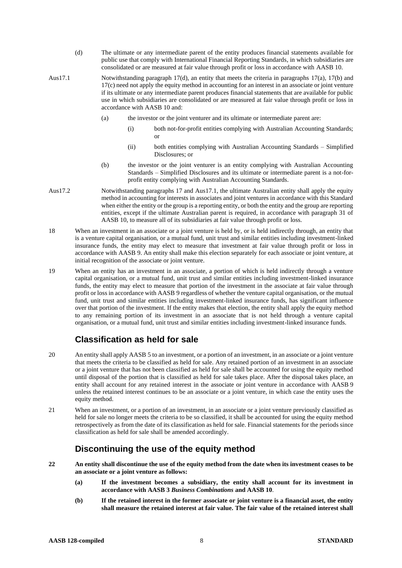- (d) The ultimate or any intermediate parent of the entity produces financial statements available for public use that comply with International Financial Reporting Standards, in which subsidiaries are consolidated or are measured at fair value through profit or loss in accordance with AASB 10.
- Aus17.1 Notwithstanding paragraph 17(d), an entity that meets the criteria in paragraphs 17(a), 17(b) and 17(c) need not apply the equity method in accounting for an interest in an associate or joint venture if its ultimate or any intermediate parent produces financial statements that are available for public use in which subsidiaries are consolidated or are measured at fair value through profit or loss in accordance with AASB 10 and:
	- (a) the investor or the joint venturer and its ultimate or intermediate parent are:
		- (i) both not-for-profit entities complying with Australian Accounting Standards; or
		- (ii) both entities complying with Australian Accounting Standards Simplified Disclosures; or
	- (b) the investor or the joint venturer is an entity complying with Australian Accounting Standards – Simplified Disclosures and its ultimate or intermediate parent is a not-forprofit entity complying with Australian Accounting Standards.
- Aus17.2 Notwithstanding paragraphs 17 and Aus17.1, the ultimate Australian entity shall apply the equity method in accounting for interests in associates and joint ventures in accordance with this Standard when either the entity or the group is a reporting entity, or both the entity and the group are reporting entities, except if the ultimate Australian parent is required, in accordance with paragraph 31 of AASB 10, to measure all of its subsidiaries at fair value through profit or loss.
- 18 When an investment in an associate or a joint venture is held by, or is held indirectly through, an entity that is a venture capital organisation, or a mutual fund, unit trust and similar entities including investment-linked insurance funds, the entity may elect to measure that investment at fair value through profit or loss in accordance with AASB 9. An entity shall make this election separately for each associate or joint venture, at initial recognition of the associate or joint venture.
- 19 When an entity has an investment in an associate, a portion of which is held indirectly through a venture capital organisation, or a mutual fund, unit trust and similar entities including investment-linked insurance funds, the entity may elect to measure that portion of the investment in the associate at fair value through profit or loss in accordance with AASB 9 regardless of whether the venture capital organisation, or the mutual fund, unit trust and similar entities including investment-linked insurance funds, has significant influence over that portion of the investment. If the entity makes that election, the entity shall apply the equity method to any remaining portion of its investment in an associate that is not held through a venture capital organisation, or a mutual fund, unit trust and similar entities including investment-linked insurance funds.

# **Classification as held for sale**

- 20 An entity shall apply AASB 5 to an investment, or a portion of an investment, in an associate or a joint venture that meets the criteria to be classified as held for sale. Any retained portion of an investment in an associate or a joint venture that has not been classified as held for sale shall be accounted for using the equity method until disposal of the portion that is classified as held for sale takes place. After the disposal takes place, an entity shall account for any retained interest in the associate or joint venture in accordance with AASB 9 unless the retained interest continues to be an associate or a joint venture, in which case the entity uses the equity method.
- 21 When an investment, or a portion of an investment, in an associate or a joint venture previously classified as held for sale no longer meets the criteria to be so classified, it shall be accounted for using the equity method retrospectively as from the date of its classification as held for sale. Financial statements for the periods since classification as held for sale shall be amended accordingly.

#### **Discontinuing the use of the equity method**

- **22 An entity shall discontinue the use of the equity method from the date when its investment ceases to be an associate or a joint venture as follows:** 
	- **(a) If the investment becomes a subsidiary, the entity shall account for its investment in accordance with AASB 3** *Business Combinations* **and AASB 10**.
	- **(b) If the retained interest in the former associate or joint venture is a financial asset, the entity shall measure the retained interest at fair value. The fair value of the retained interest shall**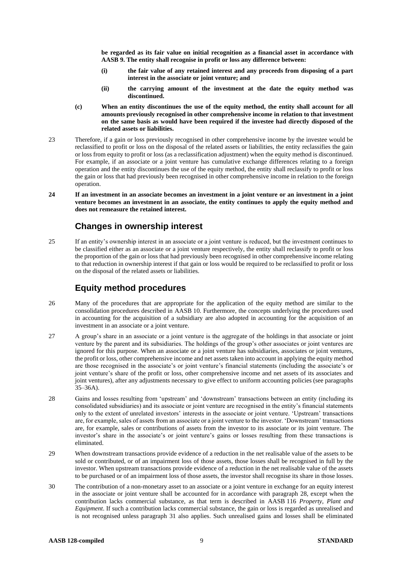**be regarded as its fair value on initial recognition as a financial asset in accordance with AASB 9. The entity shall recognise in profit or loss any difference between:**

- **(i) the fair value of any retained interest and any proceeds from disposing of a part interest in the associate or joint venture; and**
- **(ii) the carrying amount of the investment at the date the equity method was discontinued.**
- **(c) When an entity discontinues the use of the equity method, the entity shall account for all amounts previously recognised in other comprehensive income in relation to that investment on the same basis as would have been required if the investee had directly disposed of the related assets or liabilities.**
- 23 Therefore, if a gain or loss previously recognised in other comprehensive income by the investee would be reclassified to profit or loss on the disposal of the related assets or liabilities, the entity reclassifies the gain or loss from equity to profit or loss (as a reclassification adjustment) when the equity method is discontinued. For example, if an associate or a joint venture has cumulative exchange differences relating to a foreign operation and the entity discontinues the use of the equity method, the entity shall reclassify to profit or loss the gain or loss that had previously been recognised in other comprehensive income in relation to the foreign operation.
- **24 If an investment in an associate becomes an investment in a joint venture or an investment in a joint venture becomes an investment in an associate, the entity continues to apply the equity method and does not remeasure the retained interest.**

#### **Changes in ownership interest**

25 If an entity's ownership interest in an associate or a joint venture is reduced, but the investment continues to be classified either as an associate or a joint venture respectively, the entity shall reclassify to profit or loss the proportion of the gain or loss that had previously been recognised in other comprehensive income relating to that reduction in ownership interest if that gain or loss would be required to be reclassified to profit or loss on the disposal of the related assets or liabilities.

#### **Equity method procedures**

- 26 Many of the procedures that are appropriate for the application of the equity method are similar to the consolidation procedures described in AASB 10. Furthermore, the concepts underlying the procedures used in accounting for the acquisition of a subsidiary are also adopted in accounting for the acquisition of an investment in an associate or a joint venture.
- 27 A group's share in an associate or a joint venture is the aggregate of the holdings in that associate or joint venture by the parent and its subsidiaries. The holdings of the group's other associates or joint ventures are ignored for this purpose. When an associate or a joint venture has subsidiaries, associates or joint ventures, the profit or loss, other comprehensive income and net assets taken into account in applying the equity method are those recognised in the associate's or joint venture's financial statements (including the associate's or joint venture's share of the profit or loss, other comprehensive income and net assets of its associates and joint ventures), after any adjustments necessary to give effect to uniform accounting policies (see paragraphs 35–36A).
- 28 Gains and losses resulting from 'upstream' and 'downstream' transactions between an entity (including its consolidated subsidiaries) and its associate or joint venture are recognised in the entity's financial statements only to the extent of unrelated investors' interests in the associate or joint venture. 'Upstream' transactions are, for example, sales of assets from an associate or a joint venture to the investor. 'Downstream' transactions are, for example, sales or contributions of assets from the investor to its associate or its joint venture. The investor's share in the associate's or joint venture's gains or losses resulting from these transactions is eliminated.
- 29 When downstream transactions provide evidence of a reduction in the net realisable value of the assets to be sold or contributed, or of an impairment loss of those assets, those losses shall be recognised in full by the investor. When upstream transactions provide evidence of a reduction in the net realisable value of the assets to be purchased or of an impairment loss of those assets, the investor shall recognise its share in those losses.
- 30 The contribution of a non-monetary asset to an associate or a joint venture in exchange for an equity interest in the associate or joint venture shall be accounted for in accordance with paragraph 28, except when the contribution lacks commercial substance, as that term is described in AASB 116 *Property, Plant and Equipment*. If such a contribution lacks commercial substance, the gain or loss is regarded as unrealised and is not recognised unless paragraph 31 also applies. Such unrealised gains and losses shall be eliminated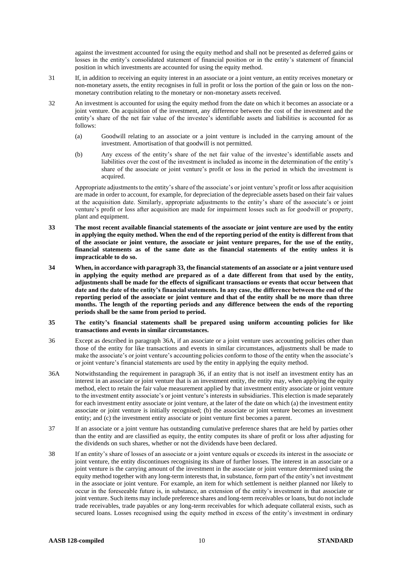against the investment accounted for using the equity method and shall not be presented as deferred gains or losses in the entity's consolidated statement of financial position or in the entity's statement of financial position in which investments are accounted for using the equity method.

- 31 If, in addition to receiving an equity interest in an associate or a joint venture, an entity receives monetary or non-monetary assets, the entity recognises in full in profit or loss the portion of the gain or loss on the nonmonetary contribution relating to the monetary or non-monetary assets received.
- 32 An investment is accounted for using the equity method from the date on which it becomes an associate or a joint venture. On acquisition of the investment, any difference between the cost of the investment and the entity's share of the net fair value of the investee's identifiable assets and liabilities is accounted for as follows:
	- (a) Goodwill relating to an associate or a joint venture is included in the carrying amount of the investment. Amortisation of that goodwill is not permitted.
	- (b) Any excess of the entity's share of the net fair value of the investee's identifiable assets and liabilities over the cost of the investment is included as income in the determination of the entity's share of the associate or joint venture's profit or loss in the period in which the investment is acquired.

Appropriate adjustments to the entity's share of the associate's or joint venture's profit or loss after acquisition are made in order to account, for example, for depreciation of the depreciable assets based on their fair values at the acquisition date. Similarly, appropriate adjustments to the entity's share of the associate's or joint venture's profit or loss after acquisition are made for impairment losses such as for goodwill or property, plant and equipment.

- **33 The most recent available financial statements of the associate or joint venture are used by the entity in applying the equity method. When the end of the reporting period of the entity is different from that of the associate or joint venture, the associate or joint venture prepares, for the use of the entity, financial statements as of the same date as the financial statements of the entity unless it is impracticable to do so.**
- **34 When, in accordance with paragraph 33, the financial statements of an associate or a joint venture used in applying the equity method are prepared as of a date different from that used by the entity, adjustments shall be made for the effects of significant transactions or events that occur between that date and the date of the entity's financial statements. In any case, the difference between the end of the reporting period of the associate or joint venture and that of the entity shall be no more than three months. The length of the reporting periods and any difference between the ends of the reporting periods shall be the same from period to period.**
- **35 The entity's financial statements shall be prepared using uniform accounting policies for like transactions and events in similar circumstances.**
- 36 Except as described in paragraph 36A, if an associate or a joint venture uses accounting policies other than those of the entity for like transactions and events in similar circumstances, adjustments shall be made to make the associate's or joint venture's accounting policies conform to those of the entity when the associate's or joint venture's financial statements are used by the entity in applying the equity method.
- 36A Notwithstanding the requirement in paragraph 36, if an entity that is not itself an investment entity has an interest in an associate or joint venture that is an investment entity, the entity may, when applying the equity method, elect to retain the fair value measurement applied by that investment entity associate or joint venture to the investment entity associate's or joint venture's interests in subsidiaries. This election is made separately for each investment entity associate or joint venture, at the later of the date on which (a) the investment entity associate or joint venture is initially recognised; (b) the associate or joint venture becomes an investment entity; and (c) the investment entity associate or joint venture first becomes a parent.
- 37 If an associate or a joint venture has outstanding cumulative preference shares that are held by parties other than the entity and are classified as equity, the entity computes its share of profit or loss after adjusting for the dividends on such shares, whether or not the dividends have been declared.
- 38 If an entity's share of losses of an associate or a joint venture equals or exceeds its interest in the associate or joint venture, the entity discontinues recognising its share of further losses. The interest in an associate or a joint venture is the carrying amount of the investment in the associate or joint venture determined using the equity method together with any long-term interests that, in substance, form part of the entity's net investment in the associate or joint venture. For example, an item for which settlement is neither planned nor likely to occur in the foreseeable future is, in substance, an extension of the entity's investment in that associate or joint venture. Such items may include preference shares and long-term receivables or loans, but do not include trade receivables, trade payables or any long-term receivables for which adequate collateral exists, such as secured loans. Losses recognised using the equity method in excess of the entity's investment in ordinary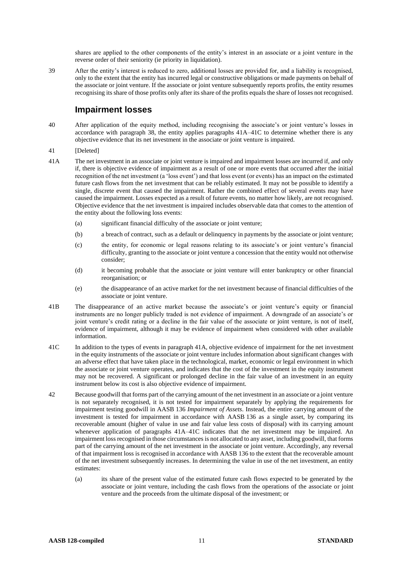shares are applied to the other components of the entity's interest in an associate or a joint venture in the reverse order of their seniority (ie priority in liquidation).

39 After the entity's interest is reduced to zero, additional losses are provided for, and a liability is recognised, only to the extent that the entity has incurred legal or constructive obligations or made payments on behalf of the associate or joint venture. If the associate or joint venture subsequently reports profits, the entity resumes recognising its share of those profits only after its share of the profits equals the share of losses not recognised.

#### **Impairment losses**

- 40 After application of the equity method, including recognising the associate's or joint venture's losses in accordance with paragraph 38, the entity applies paragraphs 41A–41C to determine whether there is any objective evidence that its net investment in the associate or joint venture is impaired.
- 41 [Deleted]
- 41A The net investment in an associate or joint venture is impaired and impairment losses are incurred if, and only if, there is objective evidence of impairment as a result of one or more events that occurred after the initial recognition of the net investment (a 'loss event') and that loss event (or events) has an impact on the estimated future cash flows from the net investment that can be reliably estimated. It may not be possible to identify a single, discrete event that caused the impairment. Rather the combined effect of several events may have caused the impairment. Losses expected as a result of future events, no matter how likely, are not recognised. Objective evidence that the net investment is impaired includes observable data that comes to the attention of the entity about the following loss events:
	- (a) significant financial difficulty of the associate or joint venture;
	- (b) a breach of contract, such as a default or delinquency in payments by the associate or joint venture;
	- (c) the entity, for economic or legal reasons relating to its associate's or joint venture's financial difficulty, granting to the associate or joint venture a concession that the entity would not otherwise consider;
	- (d) it becoming probable that the associate or joint venture will enter bankruptcy or other financial reorganisation; or
	- (e) the disappearance of an active market for the net investment because of financial difficulties of the associate or joint venture.
- 41B The disappearance of an active market because the associate's or joint venture's equity or financial instruments are no longer publicly traded is not evidence of impairment. A downgrade of an associate's or joint venture's credit rating or a decline in the fair value of the associate or joint venture, is not of itself, evidence of impairment, although it may be evidence of impairment when considered with other available information.
- 41C In addition to the types of events in paragraph 41A, objective evidence of impairment for the net investment in the equity instruments of the associate or joint venture includes information about significant changes with an adverse effect that have taken place in the technological, market, economic or legal environment in which the associate or joint venture operates, and indicates that the cost of the investment in the equity instrument may not be recovered. A significant or prolonged decline in the fair value of an investment in an equity instrument below its cost is also objective evidence of impairment.
- 42 Because goodwill that forms part of the carrying amount of the net investment in an associate or a joint venture is not separately recognised, it is not tested for impairment separately by applying the requirements for impairment testing goodwill in AASB 136 *Impairment of Assets*. Instead, the entire carrying amount of the investment is tested for impairment in accordance with AASB 136 as a single asset, by comparing its recoverable amount (higher of value in use and fair value less costs of disposal) with its carrying amount whenever application of paragraphs 41A–41C indicates that the net investment may be impaired. An impairment loss recognised in those circumstances is not allocated to any asset, including goodwill, that forms part of the carrying amount of the net investment in the associate or joint venture. Accordingly, any reversal of that impairment loss is recognised in accordance with AASB 136 to the extent that the recoverable amount of the net investment subsequently increases. In determining the value in use of the net investment, an entity estimates:
	- (a) its share of the present value of the estimated future cash flows expected to be generated by the associate or joint venture, including the cash flows from the operations of the associate or joint venture and the proceeds from the ultimate disposal of the investment; or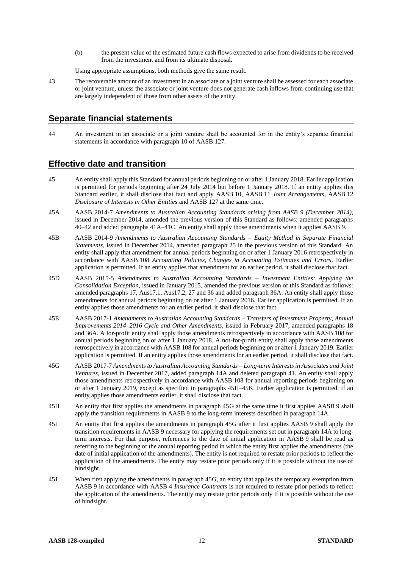(b) the present value of the estimated future cash flows expected to arise from dividends to be received from the investment and from its ultimate disposal.

Using appropriate assumptions, both methods give the same result.

43 The recoverable amount of an investment in an associate or a joint venture shall be assessed for each associate or joint venture, unless the associate or joint venture does not generate cash inflows from continuing use that are largely independent of those from other assets of the entity.

#### **Separate financial statements**

44 An investment in an associate or a joint venture shall be accounted for in the entity's separate financial statements in accordance with paragraph 10 of AASB 127.

#### **Effective date and transition**

- 45 An entity shall apply this Standard for annual periods beginning on or after 1 January 2018. Earlier application is permitted for periods beginning after 24 July 2014 but before 1 January 2018. If an entity applies this Standard earlier, it shall disclose that fact and apply AASB 10, AASB 11 *Joint Arrangements*, AASB 12 *Disclosure of Interests in Other Entities* and AASB 127 at the same time.
- 45A AASB 2014-7 *Amendments to Australian Accounting Standards arising from AASB 9 (December 2014)*, issued in December 2014, amended the previous version of this Standard as follows: amended paragraphs 40–42 and added paragraphs 41A–41C. An entity shall apply those amendments when it applies AASB 9.
- 45B AASB 2014-9 *Amendments to Australian Accounting Standards – Equity Method in Separate Financial Statements*, issued in December 2014, amended paragraph 25 in the previous version of this Standard. An entity shall apply that amendment for annual periods beginning on or after 1 January 2016 retrospectively in accordance with AASB 108 *Accounting Policies, Changes in Accounting Estimates and Errors*. Earlier application is permitted. If an entity applies that amendment for an earlier period, it shall disclose that fact.
- 45D AASB 2015-5 *Amendments to Australian Accounting Standards – Investment Entities: Applying the Consolidation Exception*, issued in January 2015, amended the previous version of this Standard as follows: amended paragraphs 17, Aus17.1, Aus17.2, 27 and 36 and added paragraph 36A. An entity shall apply those amendments for annual periods beginning on or after 1 January 2016. Earlier application is permitted. If an entity applies those amendments for an earlier period, it shall disclose that fact.
- 45E AASB 2017-1 *Amendments to Australian Accounting Standards – Transfers of Investment Property, Annual Improvements 2014–2016 Cycle and Other Amendments*, issued in February 2017, amended paragraphs 18 and 36A. A for-profit entity shall apply those amendments retrospectively in accordance with AASB 108 for annual periods beginning on or after 1 January 2018. A not-for-profit entity shall apply those amendments retrospectively in accordance with AASB 108 for annual periods beginning on or after 1 January 2019. Earlier application is permitted. If an entity applies those amendments for an earlier period, it shall disclose that fact.
- 45G AASB 2017-7 *Amendments to Australian Accounting Standards – Long-term Interests in Associates and Joint Ventures*, issued in December 2017, added paragraph 14A and deleted paragraph 41. An entity shall apply those amendments retrospectively in accordance with AASB 108 for annual reporting periods beginning on or after 1 January 2019, except as specified in paragraphs 45H–45K. Earlier application is permitted. If an entity applies those amendments earlier, it shall disclose that fact.
- 45H An entity that first applies the amendments in paragraph 45G at the same time it first applies AASB 9 shall apply the transition requirements in AASB 9 to the long-term interests described in paragraph 14A.
- 45I An entity that first applies the amendments in paragraph 45G after it first applies AASB 9 shall apply the transition requirements in AASB 9 necessary for applying the requirements set out in paragraph 14A to longterm interests. For that purpose, references to the date of initial application in AASB 9 shall be read as referring to the beginning of the annual reporting period in which the entity first applies the amendments (the date of initial application of the amendments). The entity is not required to restate prior periods to reflect the application of the amendments. The entity may restate prior periods only if it is possible without the use of hindsight.
- 45J When first applying the amendments in paragraph 45G, an entity that applies the temporary exemption from AASB 9 in accordance with AASB 4 *Insurance Contracts* is not required to restate prior periods to reflect the application of the amendments. The entity may restate prior periods only if it is possible without the use of hindsight.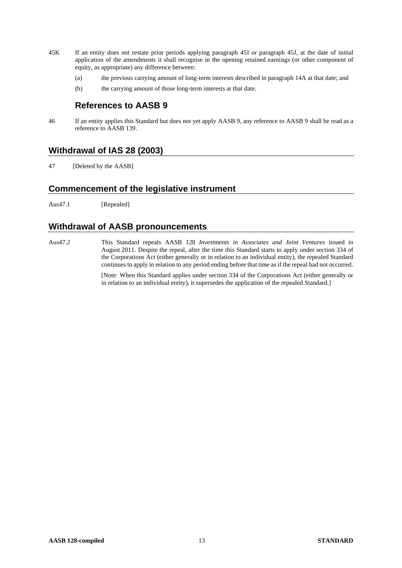- 45K If an entity does not restate prior periods applying paragraph 45I or paragraph 45J, at the date of initial application of the amendments it shall recognise in the opening retained earnings (or other component of equity, as appropriate) any difference between:
	- (a) the previous carrying amount of long-term interests described in paragraph 14A at that date; and
	- (b) the carrying amount of those long-term interests at that date.

#### **References to AASB 9**

46 If an entity applies this Standard but does not yet apply AASB 9, any reference to AASB 9 shall be read as a reference to AASB 139.

## **Withdrawal of IAS 28 (2003)**

47 [Deleted by the AASB]

# **Commencement of the legislative instrument**

Aus47.1 [Repealed]

## **Withdrawal of AASB pronouncements**

Aus47.2 This Standard repeals AASB 128 *Investments in Associates and Joint Ventures* issued in August 2011. Despite the repeal, after the time this Standard starts to apply under section 334 of the Corporations Act (either generally or in relation to an individual entity), the repealed Standard continues to apply in relation to any period ending before that time as if the repeal had not occurred.

> [Note: When this Standard applies under section 334 of the Corporations Act (either generally or in relation to an individual entity), it supersedes the application of the repealed Standard.]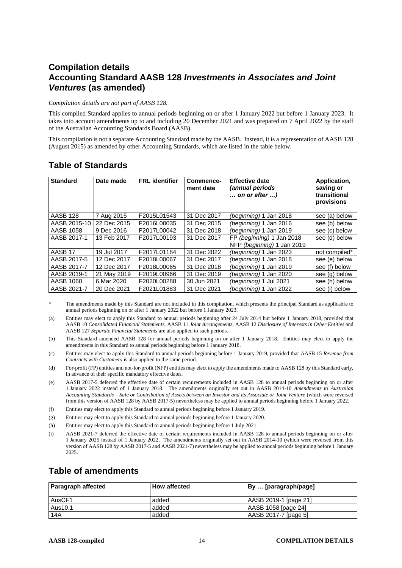# **Compilation details Accounting Standard AASB 128** *Investments in Associates and Joint Ventures* **(as amended)**

#### *Compilation details are not part of AASB 128.*

This compiled Standard applies to annual periods beginning on or after 1 January 2022 but before 1 January 2023. It takes into account amendments up to and including 20 December 2021 and was prepared on 7 April 2022 by the staff of the Australian Accounting Standards Board (AASB).

This compilation is not a separate Accounting Standard made by the AASB. Instead, it is a representation of AASB 128 (August 2015) as amended by other Accounting Standards, which are listed in the table below.

| <b>Standard</b>    | Date made   | <b>FRL</b> identifier | Commence-<br>ment date | <b>Effective date</b><br>(annual periods<br>$\ldots$ on or after $\ldots$ ) | Application,<br>saving or<br>transitional<br>provisions |
|--------------------|-------------|-----------------------|------------------------|-----------------------------------------------------------------------------|---------------------------------------------------------|
| <b>AASB 128</b>    | 7 Aug 2015  | F2015L01543           | 31 Dec 2017            | (beginning) 1 Jan 2018                                                      | see (a) below                                           |
| AASB 2015-10       | 22 Dec 2015 | F2016L00035           | 31 Dec 2015            | (beginning) 1 Jan 2016                                                      | see (b) below                                           |
| AASB 1058          | 9 Dec 2016  | F2017L00042           | 31 Dec 2018            | (beginning) 1 Jan 2019                                                      | see (c) below                                           |
| AASB 2017-1        | 13 Feb 2017 | F2017L00193           | 31 Dec 2017            | FP (beginning) 1 Jan 2018<br>NFP (beginning) 1 Jan 2019                     | see (d) below                                           |
| AASB <sub>17</sub> | 19 Jul 2017 | F2017L01184           | 31 Dec 2022            | (beginning) 1 Jan 2023                                                      | not compiled*                                           |
| AASB 2017-5        | 12 Dec 2017 | F2018L00067           | 31 Dec 2017            | (beginning) 1 Jan 2018                                                      | see (e) below                                           |
| AASB 2017-7        | 12 Dec 2017 | F2018L00065           | 31 Dec 2018            | (beginning) 1 Jan 2019                                                      | see (f) below                                           |
| AASB 2019-1        | 21 May 2019 | F2019L00966           | 31 Dec 2019            | (beginning) 1 Jan 2020                                                      | see (g) below                                           |
| AASB 1060          | 6 Mar 2020  | F2020L00288           | 30 Jun 2021            | (beginning) 1 Jul 2021                                                      | see (h) below                                           |
| AASB 2021-7        | 20 Dec 2021 | F2021L01883           | 31 Dec 2021            | (beginning) 1 Jan 2022                                                      | see (i) below                                           |

## **Table of Standards**

The amendments made by this Standard are not included in this compilation, which presents the principal Standard as applicable to annual periods beginning on or after 1 January 2022 but before 1 January 2023.

(a) Entities may elect to apply this Standard to annual periods beginning after 24 July 2014 but before 1 January 2018, provided that AASB 10 *Consolidated Financial Statements*, AASB 11 *Joint Arrangements*, AASB 12 *Disclosure of Interests in Other Entities* and AASB 127 *Separate Financial Statements* are also applied to such periods.

- (b) This Standard amended AASB 128 for annual periods beginning on or after 1 January 2018. Entities may elect to apply the amendments in this Standard to annual periods beginning before 1 January 2018.
- (c) Entities may elect to apply this Standard to annual periods beginning before 1 January 2019, provided that AASB 15 *Revenue from Contracts with Customers* is also applied to the same period.

(d) For-profit (FP) entities and not-for-profit (NFP) entities may elect to apply the amendments made to AASB 128 by this Standard early, in advance of their specific mandatory effective dates.

- (e) AASB 2017-5 deferred the effective date of certain requirements included in AASB 128 to annual periods beginning on or after 1 January 2022 instead of 1 January 2018. The amendments originally set out in AASB 2014-10 *Amendments to Australian Accounting Standards – Sale or Contribution of Assets between an Investor and its Associate or Joint Venture* (which were reversed from this version of AASB 128 by AASB 2017-5) nevertheless may be applied to annual periods beginning before 1 January 2022.
- (f) Entities may elect to apply this Standard to annual periods beginning before 1 January 2019.
- (g) Entities may elect to apply this Standard to annual periods beginning before 1 January 2020.
- (h) Entities may elect to apply this Standard to annual periods beginning before 1 July 2021.
- (i) AASB 2021-7 deferred the effective date of certain requirements included in AASB 128 to annual periods beginning on or after 1 January 2025 instead of 1 January 2022. The amendments originally set out in AASB 2014-10 (which were reversed from this version of AASB 128 by AASB 2017-5 and AASB 2021-7) nevertheless may be applied to annual periods beginning before 1 January 2025.

#### **Table of amendments**

| <b>Paragraph affected</b> | <b>How affected</b> | By  [paragraph/page]  |
|---------------------------|---------------------|-----------------------|
| AusCF1                    | added               | AASB 2019-1 [page 21] |
| Aus10.1                   | added               | AASB 1058 [page 24]   |
| 14A                       | added               | AASB 2017-7 [page 5]  |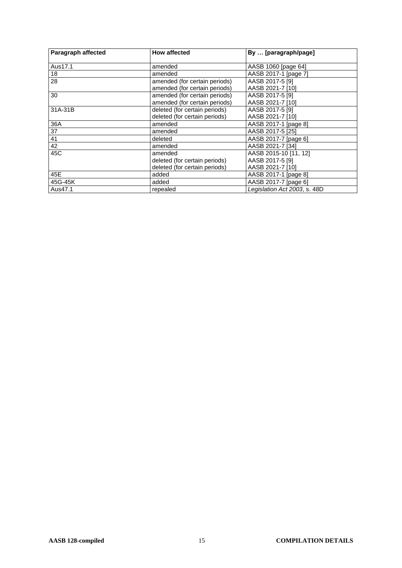| Paragraph affected | <b>How affected</b>           | By  [paragraph/page]         |
|--------------------|-------------------------------|------------------------------|
| Aus17.1            | amended                       | AASB 1060 [page 64]          |
| 18                 | amended                       | AASB 2017-1 [page 7]         |
| 28                 | amended (for certain periods) | AASB 2017-5 [9]              |
|                    | amended (for certain periods) | AASB 2021-7 [10]             |
| 30                 | amended (for certain periods) | AASB 2017-5 [9]              |
|                    | amended (for certain periods) | AASB 2021-7 [10]             |
| 31A-31B            | deleted (for certain periods) | AASB 2017-5 [9]              |
|                    | deleted (for certain periods) | AASB 2021-7 [10]             |
| 36A                | amended                       | AASB 2017-1 [page 8]         |
| 37                 | amended                       | AASB 2017-5 [25]             |
| 41                 | deleted                       | AASB 2017-7 [page 6]         |
| 42                 | amended                       | AASB 2021-7 [34]             |
| 45C                | amended                       | AASB 2015-10 [11, 12]        |
|                    | deleted (for certain periods) | AASB 2017-5 [9]              |
|                    | deleted (for certain periods) | AASB 2021-7 [10]             |
| 45E                | added                         | AASB 2017-1 [page 8]         |
| 45G-45K            | added                         | AASB 2017-7 [page 6]         |
| Aus47.1            | repealed                      | Legislation Act 2003, s. 48D |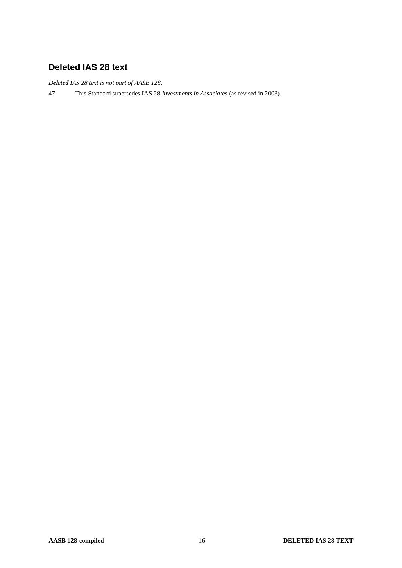# **Deleted IAS 28 text**

*Deleted IAS 28 text is not part of AASB 128.*

47 This Standard supersedes IAS 28 *Investments in Associates* (as revised in 2003).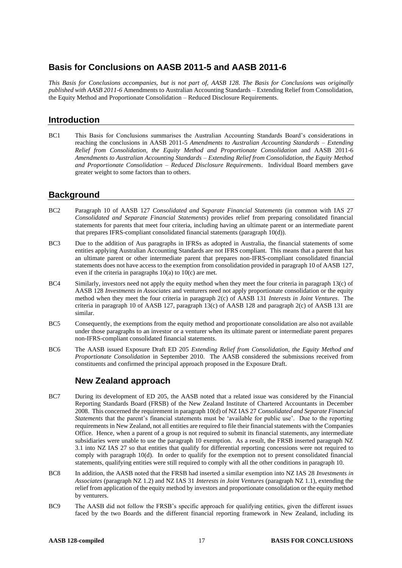# **Basis for Conclusions on AASB 2011-5 and AASB 2011-6**

*This Basis for Conclusions accompanies, but is not part of, AASB 128. The Basis for Conclusions was originally published with AASB 2011-6* Amendments to Australian Accounting Standards – Extending Relief from Consolidation, the Equity Method and Proportionate Consolidation – Reduced Disclosure Requirements.

# **Introduction**

BC1 This Basis for Conclusions summarises the Australian Accounting Standards Board's considerations in reaching the conclusions in AASB 2011-5 *Amendments to Australian Accounting Standards – Extending Relief from Consolidation, the Equity Method and Proportionate Consolidation* and AASB 2011-6 *Amendments to Australian Accounting Standards – Extending Relief from Consolidation, the Equity Method and Proportionate Consolidation – Reduced Disclosure Requirements*. Individual Board members gave greater weight to some factors than to others.

# **Background**

- BC2 Paragraph 10 of AASB 127 *Consolidated and Separate Financial Statements* (in common with IAS 27 *Consolidated and Separate Financial Statements*) provides relief from preparing consolidated financial statements for parents that meet four criteria, including having an ultimate parent or an intermediate parent that prepares IFRS-compliant consolidated financial statements (paragraph 10(d)).
- BC3 Due to the addition of Aus paragraphs in IFRSs as adopted in Australia, the financial statements of some entities applying Australian Accounting Standards are not IFRS compliant. This means that a parent that has an ultimate parent or other intermediate parent that prepares non-IFRS-compliant consolidated financial statements does not have access to the exemption from consolidation provided in paragraph 10 of AASB 127, even if the criteria in paragraphs 10(a) to 10(c) are met.
- BC4 Similarly, investors need not apply the equity method when they meet the four criteria in paragraph 13(c) of AASB 128 *Investments in Associates* and venturers need not apply proportionate consolidation or the equity method when they meet the four criteria in paragraph 2(c) of AASB 131 *Interests in Joint Ventures*. The criteria in paragraph 10 of AASB 127, paragraph 13(c) of AASB 128 and paragraph 2(c) of AASB 131 are similar.
- BC5 Consequently, the exemptions from the equity method and proportionate consolidation are also not available under those paragraphs to an investor or a venturer when its ultimate parent or intermediate parent prepares non-IFRS-compliant consolidated financial statements.
- BC6 The AASB issued Exposure Draft ED 205 *Extending Relief from Consolidation, the Equity Method and Proportionate Consolidation* in September 2010. The AASB considered the submissions received from constituents and confirmed the principal approach proposed in the Exposure Draft.

# **New Zealand approach**

- BC7 During its development of ED 205, the AASB noted that a related issue was considered by the Financial Reporting Standards Board (FRSB) of the New Zealand Institute of Chartered Accountants in December 2008. This concerned the requirement in paragraph 10(d) of NZ IAS 27 *Consolidated and Separate Financial Statements* that the parent's financial statements must be 'available for public use'. Due to the reporting requirements in New Zealand, not all entities are required to file their financial statements with the Companies Office. Hence, when a parent of a group is not required to submit its financial statements, any intermediate subsidiaries were unable to use the paragraph 10 exemption. As a result, the FRSB inserted paragraph NZ 3.1 into NZ IAS 27 so that entities that qualify for differential reporting concessions were not required to comply with paragraph 10(d). In order to qualify for the exemption not to present consolidated financial statements, qualifying entities were still required to comply with all the other conditions in paragraph 10.
- BC8 In addition, the AASB noted that the FRSB had inserted a similar exemption into NZ IAS 28 *Investments in Associates* (paragraph NZ 1.2) and NZ IAS 31 *Interests in Joint Ventures* (paragraph NZ 1.1), extending the relief from application of the equity method by investors and proportionate consolidation or the equity method by venturers.
- BC9 The AASB did not follow the FRSB's specific approach for qualifying entities, given the different issues faced by the two Boards and the different financial reporting framework in New Zealand, including its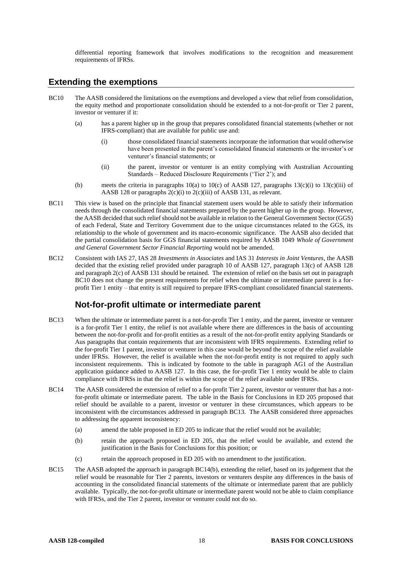differential reporting framework that involves modifications to the recognition and measurement requirements of IFRSs.

#### **Extending the exemptions**

- BC10 The AASB considered the limitations on the exemptions and developed a view that relief from consolidation, the equity method and proportionate consolidation should be extended to a not-for-profit or Tier 2 parent, investor or venturer if it:
	- (a) has a parent higher up in the group that prepares consolidated financial statements (whether or not IFRS-compliant) that are available for public use and:
		- (i) those consolidated financial statements incorporate the information that would otherwise have been presented in the parent's consolidated financial statements or the investor's or venturer's financial statements; or
		- (ii) the parent, investor or venturer is an entity complying with Australian Accounting Standards – Reduced Disclosure Requirements ('Tier 2'); and
	- (b) meets the criteria in paragraphs 10(a) to 10(c) of AASB 127, paragraphs 13(c)(i) to 13(c)(iii) of AASB 128 or paragraphs 2(c)(i) to 2(c)(iii) of AASB 131, as relevant.
- BC11 This view is based on the principle that financial statement users would be able to satisfy their information needs through the consolidated financial statements prepared by the parent higher up in the group. However, the AASB decided that such relief should not be available in relation to the General Government Sector (GGS) of each Federal, State and Territory Government due to the unique circumstances related to the GGS, its relationship to the whole of government and its macro-economic significance. The AASB also decided that the partial consolidation basis for GGS financial statements required by AASB 1049 *Whole of Government and General Government Sector Financial Reporting* would not be amended.
- BC12 Consistent with IAS 27, IAS 28 *Investments in Associates* and IAS 31 *Interests in Joint Ventures*, the AASB decided that the existing relief provided under paragraph 10 of AASB 127, paragraph 13(c) of AASB 128 and paragraph 2(c) of AASB 131 should be retained. The extension of relief on the basis set out in paragraph BC10 does not change the present requirements for relief when the ultimate or intermediate parent is a forprofit Tier 1 entity – that entity is still required to prepare IFRS-compliant consolidated financial statements.

# **Not-for-profit ultimate or intermediate parent**

- BC13 When the ultimate or intermediate parent is a not-for-profit Tier 1 entity, and the parent, investor or venturer is a for-profit Tier 1 entity, the relief is not available where there are differences in the basis of accounting between the not-for-profit and for-profit entities as a result of the not-for-profit entity applying Standards or Aus paragraphs that contain requirements that are inconsistent with IFRS requirements. Extending relief to the for-profit Tier 1 parent, investor or venturer in this case would be beyond the scope of the relief available under IFRSs. However, the relief is available when the not-for-profit entity is not required to apply such inconsistent requirements. This is indicated by footnote to the table in paragraph AG1 of the Australian application guidance added to AASB 127. In this case, the for-profit Tier 1 entity would be able to claim compliance with IFRSs in that the relief is within the scope of the relief available under IFRSs.
- BC14 The AASB considered the extension of relief to a for-profit Tier 2 parent, investor or venturer that has a notfor-profit ultimate or intermediate parent. The table in the Basis for Conclusions in ED 205 proposed that relief should be available to a parent, investor or venturer in these circumstances, which appears to be inconsistent with the circumstances addressed in paragraph BC13. The AASB considered three approaches to addressing the apparent inconsistency:
	- (a) amend the table proposed in ED 205 to indicate that the relief would not be available;
	- (b) retain the approach proposed in ED 205, that the relief would be available, and extend the justification in the Basis for Conclusions for this position; or
	- (c) retain the approach proposed in ED 205 with no amendment to the justification.
- BC15 The AASB adopted the approach in paragraph BC14(b), extending the relief, based on its judgement that the relief would be reasonable for Tier 2 parents, investors or venturers despite any differences in the basis of accounting in the consolidated financial statements of the ultimate or intermediate parent that are publicly available. Typically, the not-for-profit ultimate or intermediate parent would not be able to claim compliance with IFRSs, and the Tier 2 parent, investor or venturer could not do so.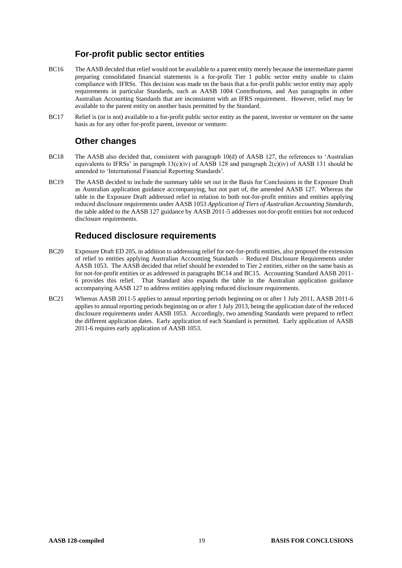# **For-profit public sector entities**

- BC16 The AASB decided that relief would not be available to a parent entity merely because the intermediate parent preparing consolidated financial statements is a for-profit Tier 1 public sector entity unable to claim compliance with IFRSs. This decision was made on the basis that a for-profit public sector entity may apply requirements in particular Standards, such as AASB 1004 Contributions, and Aus paragraphs in other Australian Accounting Standards that are inconsistent with an IFRS requirement. However, relief may be available to the parent entity on another basis permitted by the Standard.
- BC17 Relief is (or is not) available to a for-profit public sector entity as the parent, investor or venturer on the same basis as for any other for-profit parent, investor or venturer.

#### **Other changes**

- BC18 The AASB also decided that, consistent with paragraph 10(d) of AASB 127, the references to 'Australian equivalents to IFRSs' in paragraph  $13(c)(iv)$  of AASB 128 and paragraph  $2(c)(iv)$  of AASB 131 should be amended to 'International Financial Reporting Standards'.
- BC19 The AASB decided to include the summary table set out in the Basis for Conclusions in the Exposure Draft as Australian application guidance accompanying, but not part of, the amended AASB 127. Whereas the table in the Exposure Draft addressed relief in relation to both not-for-profit entities and entities applying reduced disclosure requirements under AASB 1053 *Application of Tiers of Australian Accounting Standards*, the table added to the AASB 127 guidance by AASB 2011-5 addresses not-for-profit entities but not reduced disclosure requirements.

# **Reduced disclosure requirements**

- BC20 Exposure Draft ED 205, in addition to addressing relief for not-for-profit entities, also proposed the extension of relief to entities applying Australian Accounting Standards – Reduced Disclosure Requirements under AASB 1053. The AASB decided that relief should be extended to Tier 2 entities, either on the same basis as for not-for-profit entities or as addressed in paragraphs BC14 and BC15. Accounting Standard AASB 2011- 6 provides this relief. That Standard also expands the table in the Australian application guidance accompanying AASB 127 to address entities applying reduced disclosure requirements.
- BC21 Whereas AASB 2011-5 applies to annual reporting periods beginning on or after 1 July 2011, AASB 2011-6 applies to annual reporting periods beginning on or after 1 July 2013, being the application date of the reduced disclosure requirements under AASB 1053. Accordingly, two amending Standards were prepared to reflect the different application dates. Early application of each Standard is permitted. Early application of AASB 2011-6 requires early application of AASB 1053.